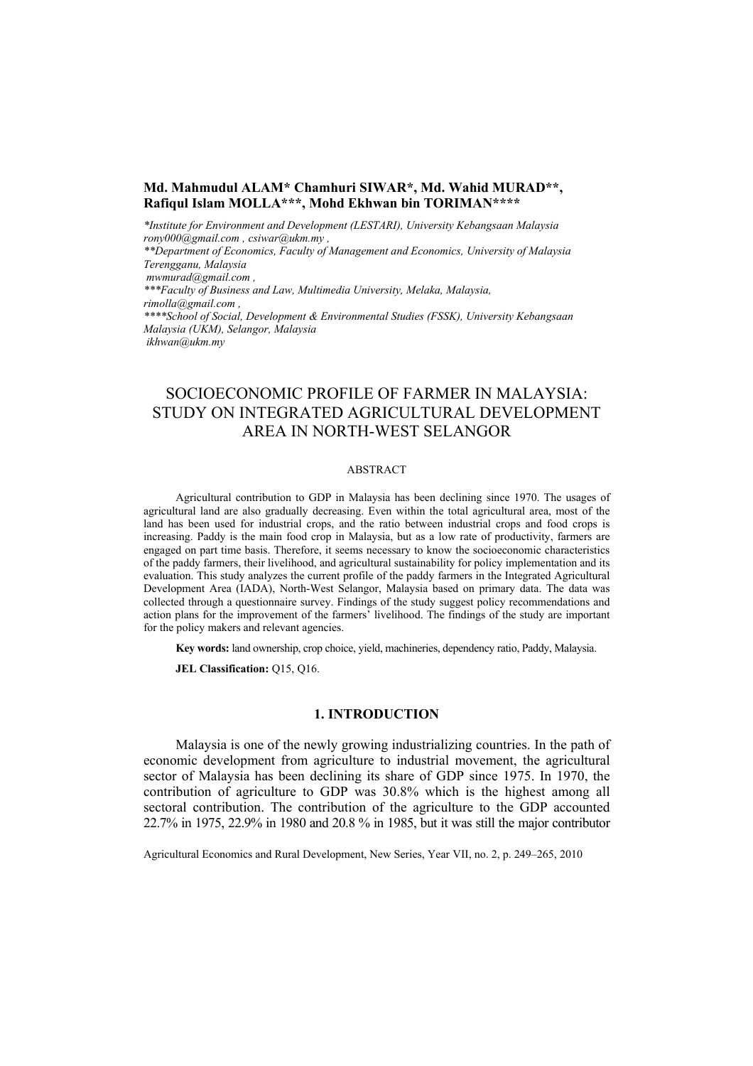# **Md. Mahmudul ALAM\* Chamhuri SIWAR\*, Md. Wahid MURAD\*\*, Rafiqul Islam MOLLA\*\*\*, Mohd Ekhwan bin TORIMAN\*\*\*\***

*\*Institute for Environment and Development (LESTARI), University Kebangsaan Malaysia rony000@gmail.com , csiwar@ukm.my ,* 

*\*\*Department of Economics, Faculty of Management and Economics, University of Malaysia Terengganu, Malaysia* 

 *mwmurad@gmail.com ,* 

*\*\*\*Faculty of Business and Law, Multimedia University, Melaka, Malaysia, rimolla@gmail.com , \*\*\*\*School of Social, Development & Environmental Studies (FSSK), University Kebangsaan Malaysia (UKM), Selangor, Malaysia ikhwan@ukm.my* 

# SOCIOECONOMIC PROFILE OF FARMER IN MALAYSIA: STUDY ON INTEGRATED AGRICULTURAL DEVELOPMENT AREA IN NORTH-WEST SELANGOR

### ABSTRACT

Agricultural contribution to GDP in Malaysia has been declining since 1970. The usages of agricultural land are also gradually decreasing. Even within the total agricultural area, most of the land has been used for industrial crops, and the ratio between industrial crops and food crops is increasing. Paddy is the main food crop in Malaysia, but as a low rate of productivity, farmers are engaged on part time basis. Therefore, it seems necessary to know the socioeconomic characteristics of the paddy farmers, their livelihood, and agricultural sustainability for policy implementation and its evaluation. This study analyzes the current profile of the paddy farmers in the Integrated Agricultural Development Area (IADA), North-West Selangor, Malaysia based on primary data. The data was collected through a questionnaire survey. Findings of the study suggest policy recommendations and action plans for the improvement of the farmers' livelihood. The findings of the study are important for the policy makers and relevant agencies.

**Key words:** land ownership, crop choice, yield, machineries, dependency ratio, Paddy, Malaysia.

**JEL Classification:** Q15, Q16.

# **1. INTRODUCTION**

Malaysia is one of the newly growing industrializing countries. In the path of economic development from agriculture to industrial movement, the agricultural sector of Malaysia has been declining its share of GDP since 1975. In 1970, the contribution of agriculture to GDP was 30.8% which is the highest among all sectoral contribution. The contribution of the agriculture to the GDP accounted 22.7% in 1975, 22.9% in 1980 and 20.8 % in 1985, but it was still the major contributor

Agricultural Economics and Rural Development, New Series, Year VII, no. 2, p. 249–265, 2010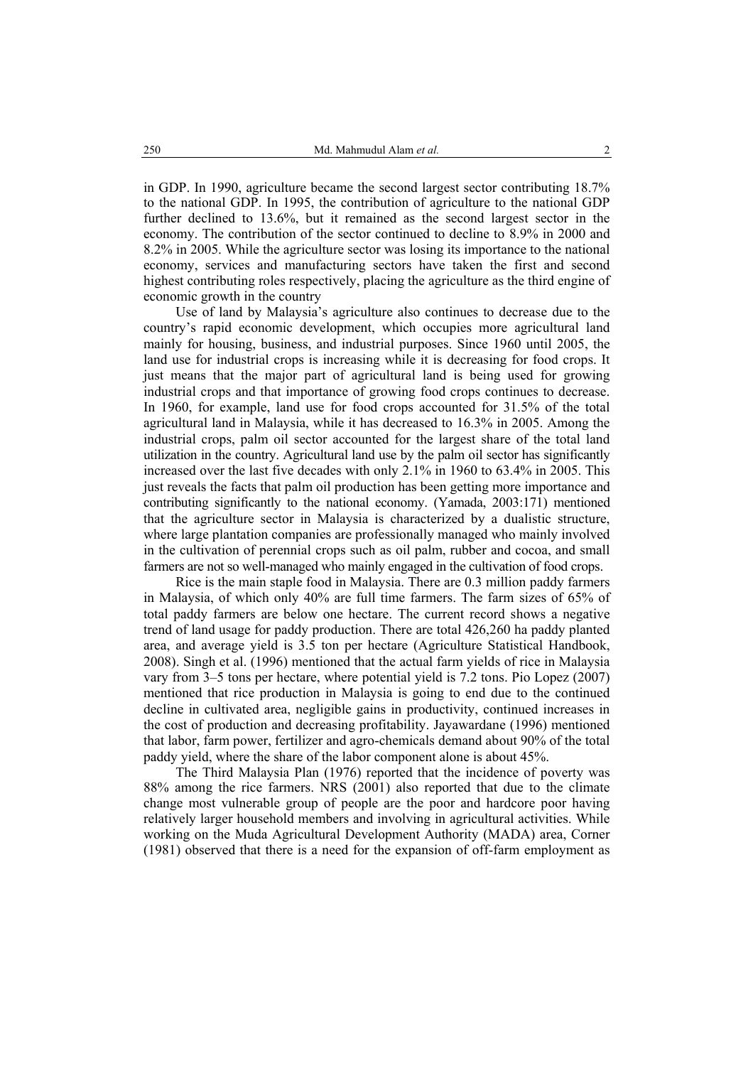in GDP. In 1990, agriculture became the second largest sector contributing 18.7% to the national GDP. In 1995, the contribution of agriculture to the national GDP further declined to 13.6%, but it remained as the second largest sector in the economy. The contribution of the sector continued to decline to 8.9% in 2000 and 8.2% in 2005. While the agriculture sector was losing its importance to the national economy, services and manufacturing sectors have taken the first and second highest contributing roles respectively, placing the agriculture as the third engine of economic growth in the country

Use of land by Malaysia's agriculture also continues to decrease due to the country's rapid economic development, which occupies more agricultural land mainly for housing, business, and industrial purposes. Since 1960 until 2005, the land use for industrial crops is increasing while it is decreasing for food crops. It just means that the major part of agricultural land is being used for growing industrial crops and that importance of growing food crops continues to decrease. In 1960, for example, land use for food crops accounted for 31.5% of the total agricultural land in Malaysia, while it has decreased to 16.3% in 2005. Among the industrial crops, palm oil sector accounted for the largest share of the total land utilization in the country. Agricultural land use by the palm oil sector has significantly increased over the last five decades with only 2.1% in 1960 to 63.4% in 2005. This just reveals the facts that palm oil production has been getting more importance and contributing significantly to the national economy. (Yamada, 2003:171) mentioned that the agriculture sector in Malaysia is characterized by a dualistic structure, where large plantation companies are professionally managed who mainly involved in the cultivation of perennial crops such as oil palm, rubber and cocoa, and small farmers are not so well-managed who mainly engaged in the cultivation of food crops.

Rice is the main staple food in Malaysia. There are 0.3 million paddy farmers in Malaysia, of which only 40% are full time farmers. The farm sizes of 65% of total paddy farmers are below one hectare. The current record shows a negative trend of land usage for paddy production. There are total 426,260 ha paddy planted area, and average yield is 3.5 ton per hectare (Agriculture Statistical Handbook, 2008). Singh et al. (1996) mentioned that the actual farm yields of rice in Malaysia vary from 3–5 tons per hectare, where potential yield is 7.2 tons. Pio Lopez (2007) mentioned that rice production in Malaysia is going to end due to the continued decline in cultivated area, negligible gains in productivity, continued increases in the cost of production and decreasing profitability. Jayawardane (1996) mentioned that labor, farm power, fertilizer and agro-chemicals demand about 90% of the total paddy yield, where the share of the labor component alone is about 45%.

The Third Malaysia Plan (1976) reported that the incidence of poverty was 88% among the rice farmers. NRS (2001) also reported that due to the climate change most vulnerable group of people are the poor and hardcore poor having relatively larger household members and involving in agricultural activities. While working on the Muda Agricultural Development Authority (MADA) area, Corner (1981) observed that there is a need for the expansion of off-farm employment as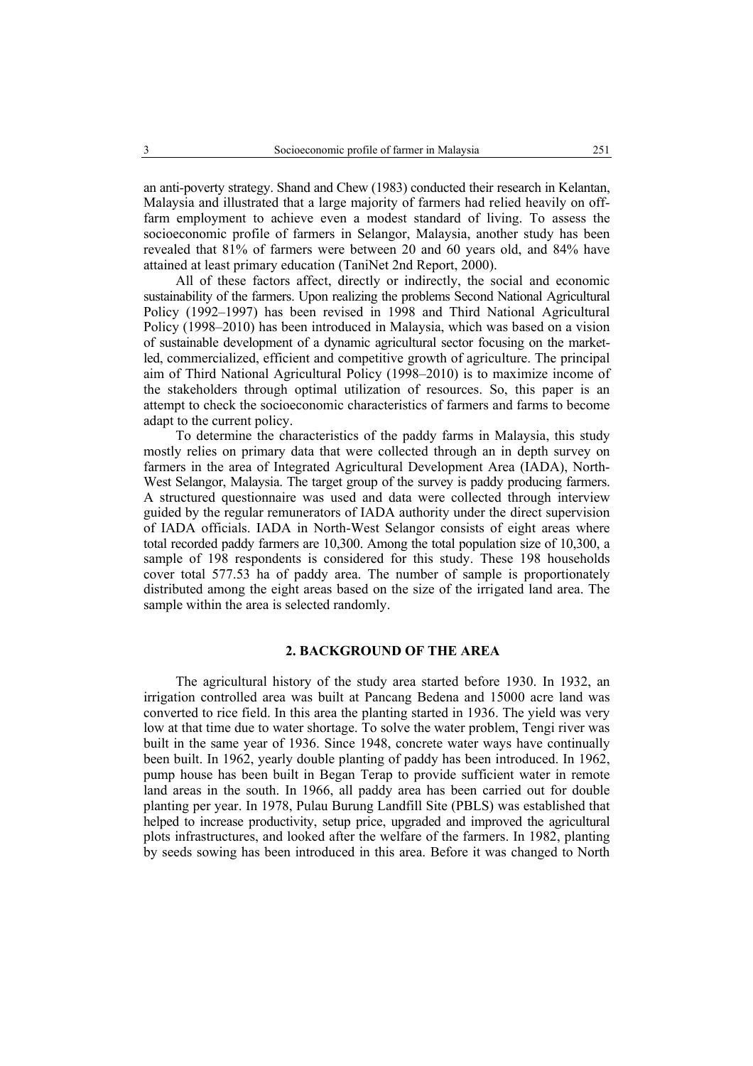an anti-poverty strategy. Shand and Chew (1983) conducted their research in Kelantan, Malaysia and illustrated that a large majority of farmers had relied heavily on offfarm employment to achieve even a modest standard of living. To assess the socioeconomic profile of farmers in Selangor, Malaysia, another study has been revealed that 81% of farmers were between 20 and 60 years old, and 84% have attained at least primary education (TaniNet 2nd Report, 2000).

All of these factors affect, directly or indirectly, the social and economic sustainability of the farmers. Upon realizing the problems Second National Agricultural Policy (1992–1997) has been revised in 1998 and Third National Agricultural Policy (1998–2010) has been introduced in Malaysia, which was based on a vision of sustainable development of a dynamic agricultural sector focusing on the marketled, commercialized, efficient and competitive growth of agriculture. The principal aim of Third National Agricultural Policy (1998–2010) is to maximize income of the stakeholders through optimal utilization of resources. So, this paper is an attempt to check the socioeconomic characteristics of farmers and farms to become adapt to the current policy.

To determine the characteristics of the paddy farms in Malaysia, this study mostly relies on primary data that were collected through an in depth survey on farmers in the area of Integrated Agricultural Development Area (IADA), North-West Selangor, Malaysia. The target group of the survey is paddy producing farmers. A structured questionnaire was used and data were collected through interview guided by the regular remunerators of IADA authority under the direct supervision of IADA officials. IADA in North-West Selangor consists of eight areas where total recorded paddy farmers are 10,300. Among the total population size of 10,300, a sample of 198 respondents is considered for this study. These 198 households cover total 577.53 ha of paddy area. The number of sample is proportionately distributed among the eight areas based on the size of the irrigated land area. The sample within the area is selected randomly.

## **2. BACKGROUND OF THE AREA**

The agricultural history of the study area started before 1930. In 1932, an irrigation controlled area was built at Pancang Bedena and 15000 acre land was converted to rice field. In this area the planting started in 1936. The yield was very low at that time due to water shortage. To solve the water problem, Tengi river was built in the same year of 1936. Since 1948, concrete water ways have continually been built. In 1962, yearly double planting of paddy has been introduced. In 1962, pump house has been built in Began Terap to provide sufficient water in remote land areas in the south. In 1966, all paddy area has been carried out for double planting per year. In 1978, Pulau Burung Landfill Site (PBLS) was established that helped to increase productivity, setup price, upgraded and improved the agricultural plots infrastructures, and looked after the welfare of the farmers. In 1982, planting by seeds sowing has been introduced in this area. Before it was changed to North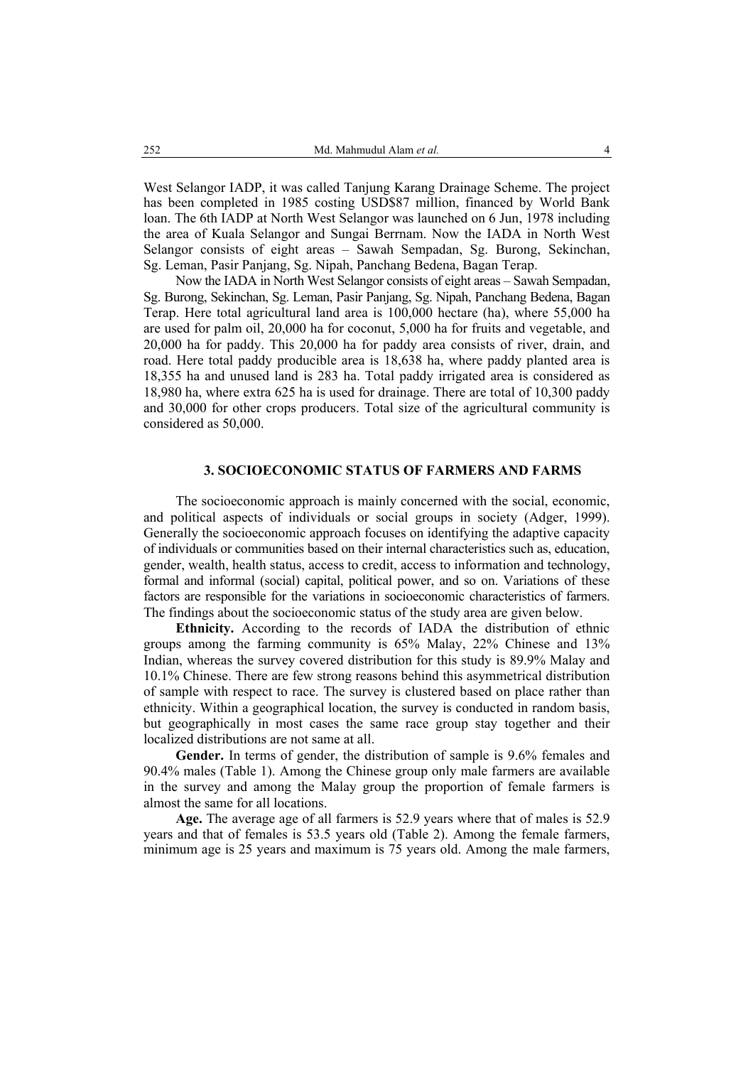West Selangor IADP, it was called Tanjung Karang Drainage Scheme. The project has been completed in 1985 costing USD\$87 million, financed by World Bank loan. The 6th IADP at North West Selangor was launched on 6 Jun, 1978 including the area of Kuala Selangor and Sungai Berrnam. Now the IADA in North West Selangor consists of eight areas – Sawah Sempadan, Sg. Burong, Sekinchan, Sg. Leman, Pasir Panjang, Sg. Nipah, Panchang Bedena, Bagan Terap.

Now the IADA in North West Selangor consists of eight areas – Sawah Sempadan, Sg. Burong, Sekinchan, Sg. Leman, Pasir Panjang, Sg. Nipah, Panchang Bedena, Bagan Terap. Here total agricultural land area is 100,000 hectare (ha), where 55,000 ha are used for palm oil, 20,000 ha for coconut, 5,000 ha for fruits and vegetable, and 20,000 ha for paddy. This 20,000 ha for paddy area consists of river, drain, and road. Here total paddy producible area is 18,638 ha, where paddy planted area is 18,355 ha and unused land is 283 ha. Total paddy irrigated area is considered as 18,980 ha, where extra 625 ha is used for drainage. There are total of 10,300 paddy and 30,000 for other crops producers. Total size of the agricultural community is considered as 50,000.

# **3. SOCIOECONOMIC STATUS OF FARMERS AND FARMS**

The socioeconomic approach is mainly concerned with the social, economic, and political aspects of individuals or social groups in society (Adger, 1999). Generally the socioeconomic approach focuses on identifying the adaptive capacity of individuals or communities based on their internal characteristics such as, education, gender, wealth, health status, access to credit, access to information and technology, formal and informal (social) capital, political power, and so on. Variations of these factors are responsible for the variations in socioeconomic characteristics of farmers. The findings about the socioeconomic status of the study area are given below.

**Ethnicity.** According to the records of IADA the distribution of ethnic groups among the farming community is 65% Malay, 22% Chinese and 13% Indian, whereas the survey covered distribution for this study is 89.9% Malay and 10.1% Chinese. There are few strong reasons behind this asymmetrical distribution of sample with respect to race. The survey is clustered based on place rather than ethnicity. Within a geographical location, the survey is conducted in random basis, but geographically in most cases the same race group stay together and their localized distributions are not same at all.

Gender. In terms of gender, the distribution of sample is 9.6% females and 90.4% males (Table 1). Among the Chinese group only male farmers are available in the survey and among the Malay group the proportion of female farmers is almost the same for all locations.

**Age.** The average age of all farmers is 52.9 years where that of males is 52.9 years and that of females is 53.5 years old (Table 2). Among the female farmers, minimum age is 25 years and maximum is 75 years old. Among the male farmers,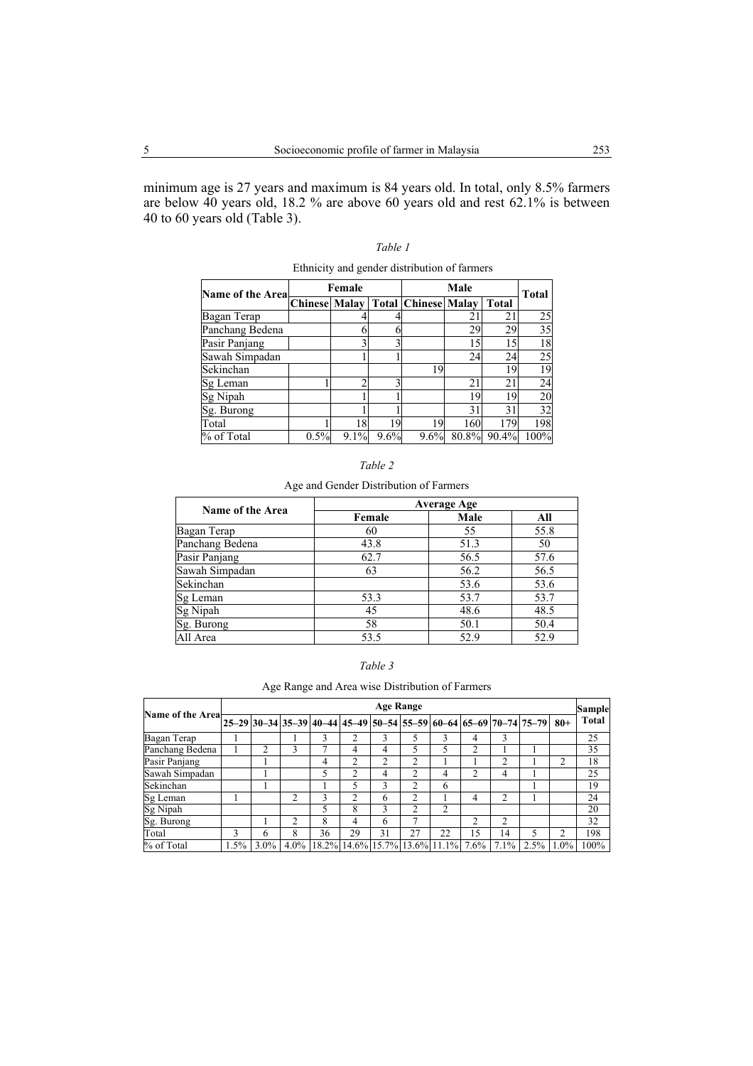minimum age is 27 years and maximum is 84 years old. In total, only 8.5% farmers are below 40 years old, 18.2 % are above 60 years old and rest 62.1% is between 40 to 60 years old (Table 3).

| Edimicity and genuer distribution of farmers |                      |      |      |                            |              |              |                 |  |
|----------------------------------------------|----------------------|------|------|----------------------------|--------------|--------------|-----------------|--|
| <b>Name of the Area</b>                      | Female               |      |      |                            | <b>Total</b> |              |                 |  |
|                                              | <b>Chinese Malay</b> |      |      | <b>Total Chinese Malay</b> |              | <b>Total</b> |                 |  |
| Bagan Terap                                  |                      |      |      |                            | 21           | 21           | 25              |  |
| Panchang Bedena                              |                      |      |      |                            | 29           | 29           | $\overline{35}$ |  |
| Pasir Panjang                                |                      |      |      |                            | 15           | 15           | 18              |  |
| Sawah Simpadan                               |                      |      |      |                            | 24           | 24           | 25              |  |
| Sekinchan                                    |                      |      |      | 19                         |              | 19           | 19              |  |
| Sg Leman                                     |                      |      |      |                            | 21           | 21           | 24              |  |
| Sg Nipah                                     |                      |      |      |                            | 19           | 19           | 20              |  |
| Sg. Burong                                   |                      |      |      |                            | 31           | 31           | 32              |  |
| Total                                        |                      | 18   | 19   | 19                         | 160          | 179          | 198             |  |
| % of Total                                   | 0.5%                 | 9.1% | 9.6% | 9.6%                       | 80.8%        | 90.4%        | 100%            |  |

*Table 1*  Ethnicity and gender distribution of farmers

| anı |  |
|-----|--|
|     |  |

Age and Gender Distribution of Farmers

| <b>Name of the Area</b> | <b>Average Age</b> |      |      |  |  |  |  |
|-------------------------|--------------------|------|------|--|--|--|--|
|                         | Female             | Male | All  |  |  |  |  |
| Bagan Terap             | 60                 | 55   | 55.8 |  |  |  |  |
| Panchang Bedena         | 43.8               | 51.3 | 50   |  |  |  |  |
| Pasir Panjang           | 62.7               | 56.5 | 57.6 |  |  |  |  |
| Sawah Simpadan          | 63                 | 56.2 | 56.5 |  |  |  |  |
| Sekinchan               |                    | 53.6 | 53.6 |  |  |  |  |
| Sg Leman                | 53.3               | 53.7 | 53.7 |  |  |  |  |
| Sg Nipah                | 45                 | 48.6 | 48.5 |  |  |  |  |
| Sg. Burong              | 58                 | 50.1 | 50.4 |  |  |  |  |
| All Area                | 53.5               | 52.9 | 52.9 |  |  |  |  |

| , | abie |  |
|---|------|--|
|   |      |  |

Age Range and Area wise Distribution of Farmers

| Name of the Area- |      | <b>Age Range</b> |                |    |                |    |    |                                                        |    | <b>Sample</b> |                                                                       |         |       |
|-------------------|------|------------------|----------------|----|----------------|----|----|--------------------------------------------------------|----|---------------|-----------------------------------------------------------------------|---------|-------|
|                   |      |                  |                |    |                |    |    |                                                        |    |               | 25–29 30–34 35–39 40–44 45–49 50–54 55–59 60–64 65–69 70–74 75–79 80+ |         | Total |
| Bagan Terap       |      |                  |                |    |                |    |    |                                                        | 4  | 3             |                                                                       |         | 25    |
| Panchang Bedena   |      |                  | 3              |    | 4              | 4  |    |                                                        | 2  |               |                                                                       |         | 35    |
| Pasir Panjang     |      |                  |                | 4  | 2              |    | ↑  |                                                        |    | ↑             |                                                                       |         | 18    |
| Sawah Simpadan    |      |                  |                |    | 2              | 4  | 2  | 4                                                      | ↑  | 4             |                                                                       |         | 25    |
| Sekinchan         |      |                  |                |    | 5              | 3  | 2  | 6                                                      |    |               |                                                                       |         | 19    |
| Sg Leman          |      |                  | $\mathfrak{D}$ | 3  | $\mathfrak{D}$ | 6  | 2  |                                                        | 4  | 2             |                                                                       |         | 24    |
| Sg Nipah          |      |                  |                |    | 8              | 3  | 2  | $\overline{c}$                                         |    |               |                                                                       |         | 20    |
| Sg. Burong        |      |                  | 2              | 8  | 4              | 6  |    |                                                        | 2  | 2             |                                                                       |         | 32    |
| Total             | 3    | 6                | 8              | 36 | 29             | 31 | 27 | 22                                                     | 15 | 14            | 5                                                                     |         | 198   |
| % of Total        | 1.5% | $3.0\%$          |                |    |                |    |    | $4.0\%$   18.2%   14.6%   15.7%   13.6%   11.1%   7.6% |    | $7.1\%$       | 2.5%                                                                  | $1.0\%$ | 100%  |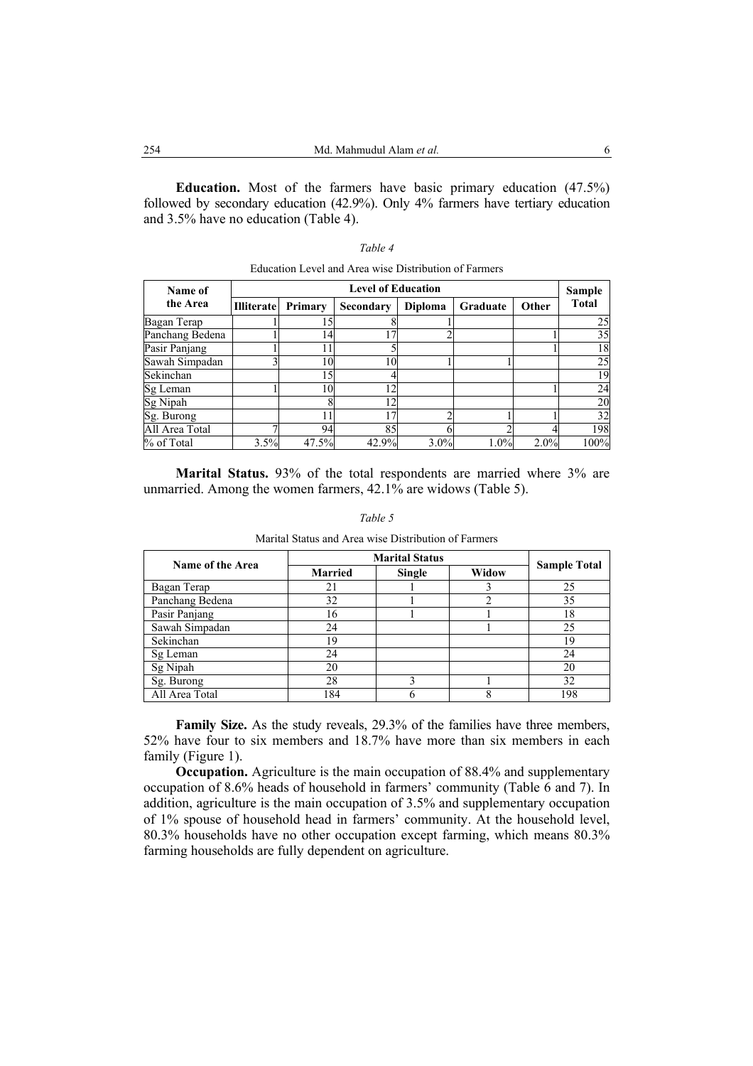**Education.** Most of the farmers have basic primary education (47.5%) followed by secondary education (42.9%). Only 4% farmers have tertiary education and 3.5% have no education (Table 4).

#### *Table 4*

| Name of         |                   | <b>Level of Education</b> |           |                |          |       |              |  |  |
|-----------------|-------------------|---------------------------|-----------|----------------|----------|-------|--------------|--|--|
| the Area        | <b>Illiterate</b> | Primary                   | Secondary | <b>Diploma</b> | Graduate | Other | <b>Total</b> |  |  |
| Bagan Terap     |                   |                           |           |                |          |       | 25           |  |  |
| Panchang Bedena |                   | 14                        |           |                |          |       | 35           |  |  |
| Pasir Panjang   |                   |                           |           |                |          |       | 18           |  |  |
| Sawah Simpadan  |                   | 10                        | 10        |                |          |       | 25           |  |  |
| Sekinchan       |                   | 15                        |           |                |          |       | 19           |  |  |
| Sg Leman        |                   | 10                        | 12        |                |          |       | 24           |  |  |
| Sg Nipah        |                   |                           | 12        |                |          |       | 20           |  |  |
| Sg. Burong      |                   |                           | 17        |                |          |       | 32           |  |  |
| All Area Total  |                   | 94                        | 85        |                |          |       | 198          |  |  |
| % of Total      | 3.5%              | 47.5%                     | 42.9%     | 3.0%           | 1.0%     | 2.0%  | 100%         |  |  |

Education Level and Area wise Distribution of Farmers

**Marital Status.** 93% of the total respondents are married where 3% are unmarried. Among the women farmers, 42.1% are widows (Table 5).

| Name of the Area |                | <b>Marital Status</b> |       |                     |  |  |  |
|------------------|----------------|-----------------------|-------|---------------------|--|--|--|
|                  | <b>Married</b> | Single                | Widow | <b>Sample Total</b> |  |  |  |
| Bagan Terap      | 21             |                       |       | 25                  |  |  |  |
| Panchang Bedena  | 32             |                       |       | 35                  |  |  |  |
| Pasir Panjang    | 16             |                       |       | 18                  |  |  |  |
| Sawah Simpadan   | 24             |                       |       | 25                  |  |  |  |
| Sekinchan        | 19             |                       |       | 19                  |  |  |  |
| Sg Leman         | 24             |                       |       | 24                  |  |  |  |
| Sg Nipah         | 20             |                       |       | 20                  |  |  |  |
| Sg. Burong       | 28             |                       |       | 32                  |  |  |  |
| All Area Total   | 184            |                       |       | 198                 |  |  |  |

*Table 5*  Marital Status and Area wise Distribution of Farmers

**Family Size.** As the study reveals, 29.3% of the families have three members, 52% have four to six members and 18.7% have more than six members in each family (Figure 1).

**Occupation.** Agriculture is the main occupation of 88.4% and supplementary occupation of 8.6% heads of household in farmers' community (Table 6 and 7). In addition, agriculture is the main occupation of 3.5% and supplementary occupation of 1% spouse of household head in farmers' community. At the household level, 80.3% households have no other occupation except farming, which means 80.3% farming households are fully dependent on agriculture.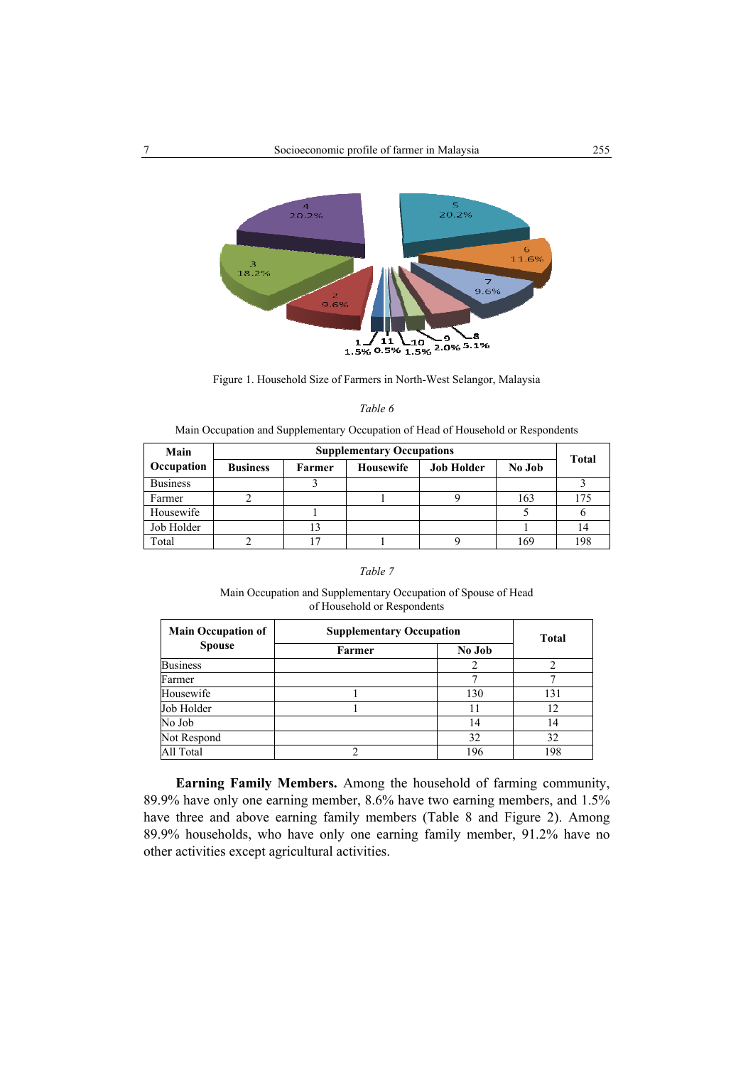

Figure 1. Household Size of Farmers in North-West Selangor, Malaysia

Main Occupation and Supplementary Occupation of Head of Household or Respondents

| Main            | <b>Supplementary Occupations</b> |        |           |                   |        |              |  |  |
|-----------------|----------------------------------|--------|-----------|-------------------|--------|--------------|--|--|
| Occupation      | <b>Business</b>                  | Farmer | Housewife | <b>Job Holder</b> | No Job | <b>Total</b> |  |  |
| <b>Business</b> |                                  |        |           |                   |        |              |  |  |
| Farmer          |                                  |        |           |                   | 163    | 175          |  |  |
| Housewife       |                                  |        |           |                   |        |              |  |  |
| Job Holder      |                                  |        |           |                   |        | 14           |  |  |
| Total           |                                  |        |           |                   | 169    | 198          |  |  |

#### *Table 7*

### Main Occupation and Supplementary Occupation of Spouse of Head of Household or Respondents

| <b>Main Occupation of</b> | <b>Supplementary Occupation</b> | Total  |     |
|---------------------------|---------------------------------|--------|-----|
| <b>Spouse</b>             | Farmer                          | No Job |     |
| <b>Business</b>           |                                 |        |     |
| Farmer                    |                                 |        |     |
| Housewife                 |                                 | 130    | 131 |
| Job Holder                |                                 | 11     | 12  |
| No Job                    |                                 | 14     | 14  |
| Not Respond               |                                 | 32     | 32  |
| All Total                 |                                 | 196    | 198 |

**Earning Family Members.** Among the household of farming community, 89.9% have only one earning member, 8.6% have two earning members, and 1.5% have three and above earning family members (Table 8 and Figure 2). Among 89.9% households, who have only one earning family member, 91.2% have no other activities except agricultural activities.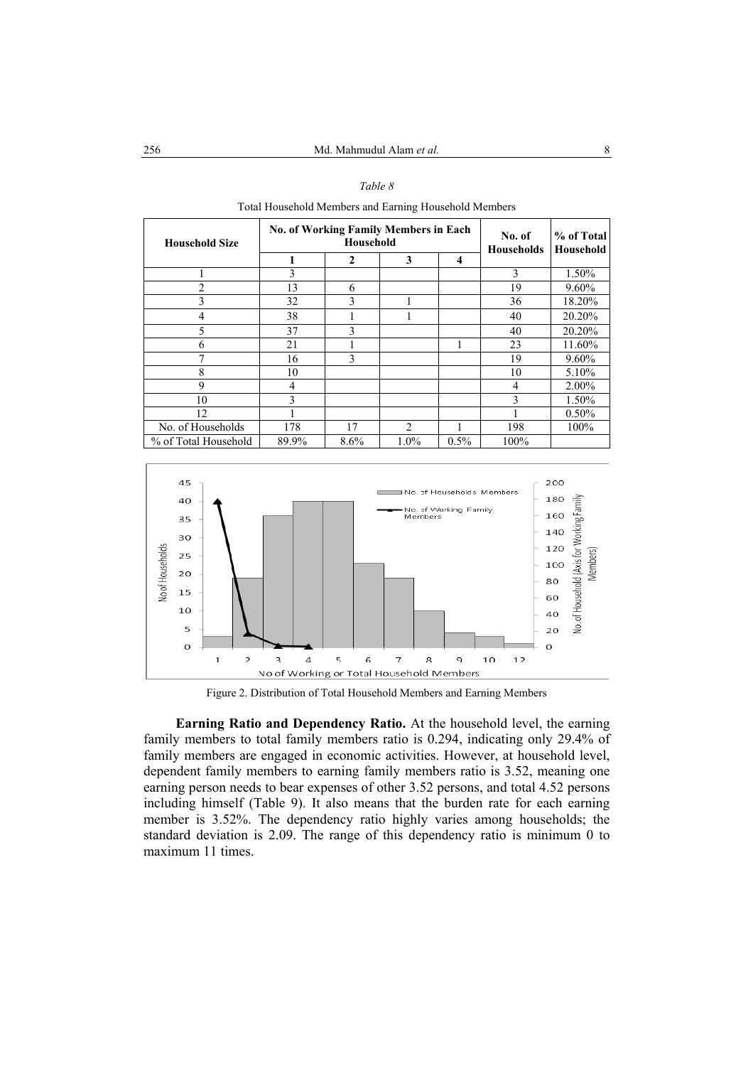| <b>Household Size</b> |       | <b>No. of Working Family Members in Each</b><br>Household | No. of<br><b>Households</b> | % of Total<br><b>Household</b> |      |          |
|-----------------------|-------|-----------------------------------------------------------|-----------------------------|--------------------------------|------|----------|
|                       |       | 2                                                         | 3                           | 4                              |      |          |
|                       | 3     |                                                           |                             |                                | 3    | 1.50%    |
| $\mathfrak{D}$        | 13    | 6                                                         |                             |                                | 19   | $9.60\%$ |
| 3                     | 32    | 3                                                         |                             |                                | 36   | 18.20%   |
| 4                     | 38    |                                                           |                             |                                | 40   | 20.20%   |
| 5                     | 37    | 3                                                         |                             |                                | 40   | 20.20%   |
| 6                     | 21    |                                                           |                             |                                | 23   | 11.60%   |
|                       | 16    | 3                                                         |                             |                                | 19   | $9.60\%$ |
| 8                     | 10    |                                                           |                             |                                | 10   | 5.10%    |
| 9                     | 4     |                                                           |                             |                                | 4    | 2.00%    |
| 10                    | 3     |                                                           |                             |                                | 3    | 1.50%    |
| 12                    |       |                                                           |                             |                                |      | $0.50\%$ |
| No. of Households     | 178   | 17                                                        | $\mathcal{L}$               |                                | 198  | 100%     |
| % of Total Household  | 89.9% | 8.6%                                                      | 1.0%                        | 0.5%                           | 100% |          |



ahold Members and Earning Household Member



Figure 2. Distribution of Total Household Members and Earning Members

**Earning Ratio and Dependency Ratio.** At the household level, the earning family members to total family members ratio is 0.294, indicating only 29.4% of family members are engaged in economic activities. However, at household level, dependent family members to earning family members ratio is 3.52, meaning one earning person needs to bear expenses of other 3.52 persons, and total 4.52 persons including himself (Table 9). It also means that the burden rate for each earning member is 3.52%. The dependency ratio highly varies among households; the standard deviation is 2.09. The range of this dependency ratio is minimum 0 to maximum 11 times.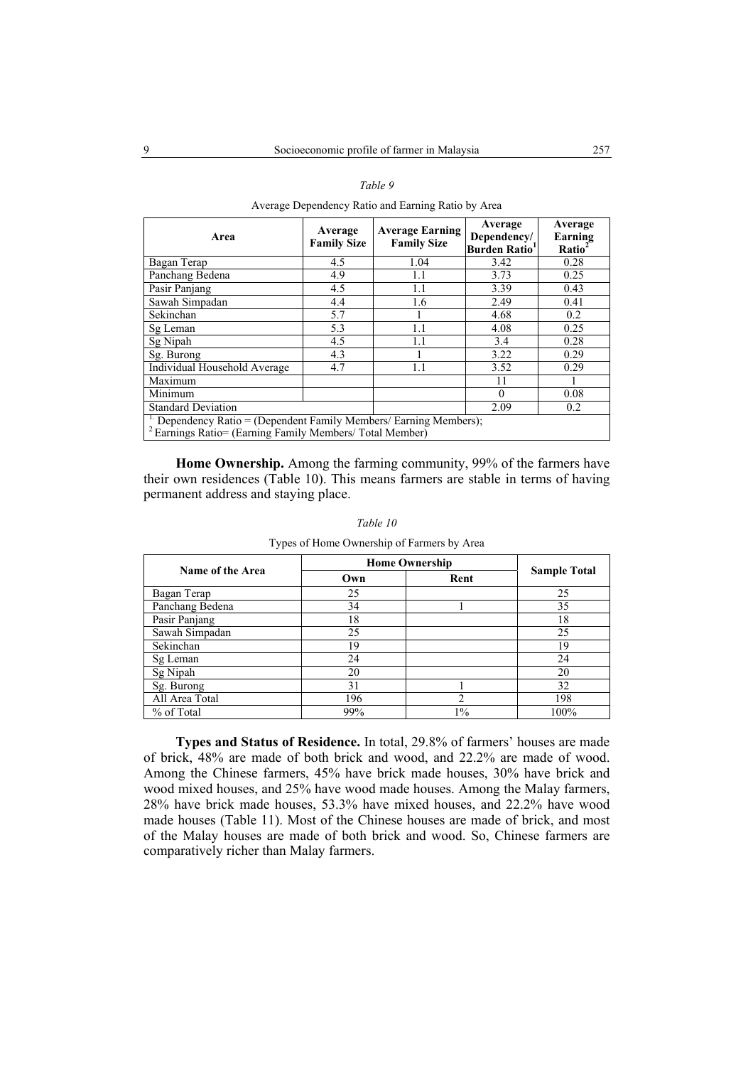Average Dependency Ratio and Earning Ratio by Area

| Area                                     | Average<br><b>Family Size</b>                                                                                                          | <b>Average Earning</b><br><b>Family Size</b> | Average<br>Dependency/<br><b>Burden Ratio</b> <sup>1</sup> | Average<br>Earning<br>Ratio <sup>2</sup> |  |  |  |  |  |
|------------------------------------------|----------------------------------------------------------------------------------------------------------------------------------------|----------------------------------------------|------------------------------------------------------------|------------------------------------------|--|--|--|--|--|
| Bagan Terap                              | 4.5                                                                                                                                    | 1.04                                         | 3.42                                                       | 0.28                                     |  |  |  |  |  |
| Panchang Bedena                          | 4.9                                                                                                                                    | 1.1                                          | 3.73                                                       | 0.25                                     |  |  |  |  |  |
| Pasir Panjang                            | 4.5                                                                                                                                    | 1.1                                          | 3.39                                                       | 0.43                                     |  |  |  |  |  |
| Sawah Simpadan                           | 4.4                                                                                                                                    | 1.6                                          | 2.49                                                       | 0.41                                     |  |  |  |  |  |
| Sekinchan                                | 5.7                                                                                                                                    |                                              | 4.68                                                       | 0.2                                      |  |  |  |  |  |
| Sg Leman                                 | 5.3                                                                                                                                    | 1.1                                          | 4.08                                                       | 0.25                                     |  |  |  |  |  |
| Sg Nipah                                 | 4.5                                                                                                                                    | 1.1                                          | 3.4                                                        | 0.28                                     |  |  |  |  |  |
| Sg. Burong                               | 4.3                                                                                                                                    |                                              | 3.22                                                       | 0.29                                     |  |  |  |  |  |
| Individual Household Average             | 4.7                                                                                                                                    | 1.1                                          | 3.52                                                       | 0.29                                     |  |  |  |  |  |
| Maximum                                  |                                                                                                                                        |                                              | 11                                                         |                                          |  |  |  |  |  |
| Minimum                                  |                                                                                                                                        |                                              | $\theta$                                                   | 0.08                                     |  |  |  |  |  |
| <b>Standard Deviation</b><br>2.09<br>0.2 |                                                                                                                                        |                                              |                                                            |                                          |  |  |  |  |  |
|                                          | Dependency Ratio = (Dependent Family Members/ Earning Members);<br><sup>2</sup> Earnings Ratio= (Earning Family Members/ Total Member) |                                              |                                                            |                                          |  |  |  |  |  |

**Home Ownership.** Among the farming community, 99% of the farmers have their own residences (Table 10). This means farmers are stable in terms of having permanent address and staying place.

| Name of the Area | <b>Home Ownership</b> |       |                     |
|------------------|-----------------------|-------|---------------------|
|                  | Own                   | Rent  | <b>Sample Total</b> |
| Bagan Terap      | 25                    |       | 25                  |
| Panchang Bedena  | 34                    |       | 35                  |
| Pasir Panjang    | 18                    |       | 18                  |
| Sawah Simpadan   | 25                    |       | 25                  |
| Sekinchan        | 19                    |       | 19                  |
| Sg Leman         | 24                    |       | 24                  |
| Sg Nipah         | 20                    |       | 20                  |
| Sg. Burong       | 31                    |       | 32                  |
| All Area Total   | 196                   |       | 198                 |
| % of Total       | 99%                   | $1\%$ | 100%                |

*Table 10* 

Types of Home Ownership of Farmers by Area

**Types and Status of Residence.** In total, 29.8% of farmers' houses are made of brick, 48% are made of both brick and wood, and 22.2% are made of wood. Among the Chinese farmers, 45% have brick made houses, 30% have brick and wood mixed houses, and 25% have wood made houses. Among the Malay farmers, 28% have brick made houses, 53.3% have mixed houses, and 22.2% have wood made houses (Table 11). Most of the Chinese houses are made of brick, and most of the Malay houses are made of both brick and wood. So, Chinese farmers are comparatively richer than Malay farmers.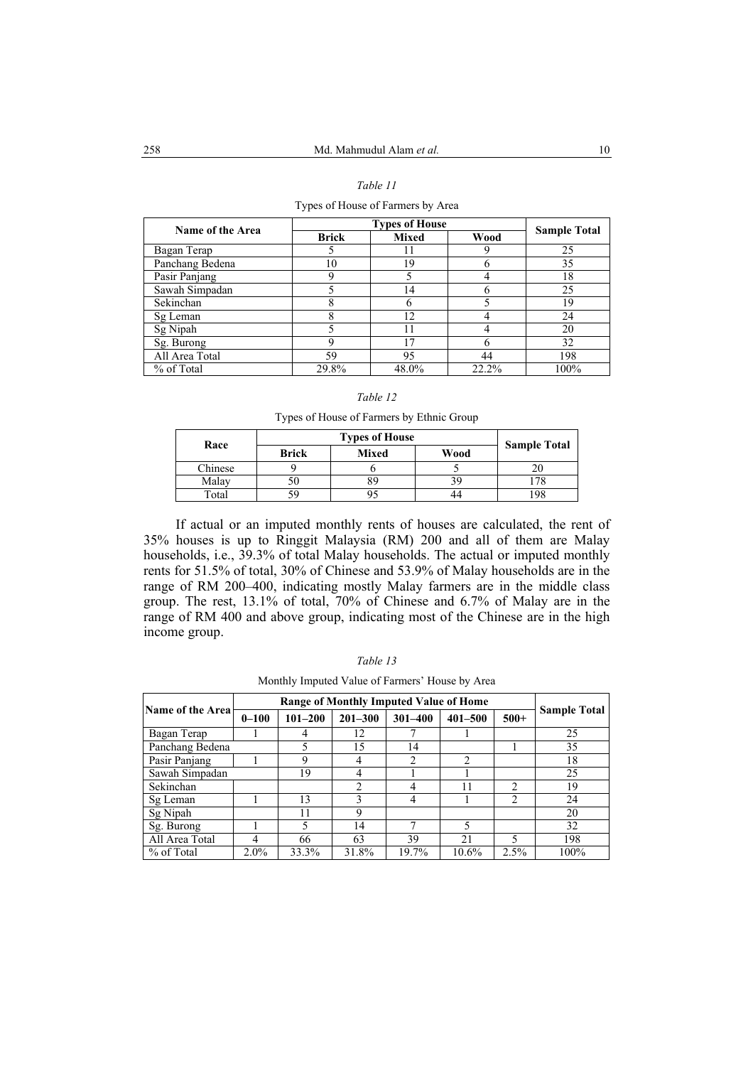Types of House of Farmers by Area

| Name of the Area |              | <b>Types of House</b> | <b>Sample Total</b> |      |
|------------------|--------------|-----------------------|---------------------|------|
|                  | <b>Brick</b> | <b>Mixed</b>          | Wood                |      |
| Bagan Terap      |              | 11                    |                     | 25   |
| Panchang Bedena  | 10           | 19                    |                     | 35   |
| Pasir Panjang    |              |                       |                     | 18   |
| Sawah Simpadan   |              | 14                    |                     | 25   |
| Sekinchan        |              | 6                     |                     | 19   |
| Sg Leman         | 8            | 12                    |                     | 24   |
| Sg Nipah         |              | 11                    |                     | 20   |
| Sg. Burong       | Q            | 17                    |                     | 32   |
| All Area Total   | 59           | 95                    | 44                  | 198  |
| % of Total       | 29.8%        | 48.0%                 | 22.2%               | 100% |

#### *Table 12*

Types of House of Farmers by Ethnic Group

| Race    |              |              |      |                     |
|---------|--------------|--------------|------|---------------------|
|         | <b>Brick</b> | <b>Mixed</b> | Wood | <b>Sample Total</b> |
| Chinese |              |              |      |                     |
| Malay   |              |              |      |                     |
| Total   |              |              |      |                     |

If actual or an imputed monthly rents of houses are calculated, the rent of 35% houses is up to Ringgit Malaysia (RM) 200 and all of them are Malay households, i.e., 39.3% of total Malay households. The actual or imputed monthly rents for 51.5% of total, 30% of Chinese and 53.9% of Malay households are in the range of RM 200–400, indicating mostly Malay farmers are in the middle class group. The rest, 13.1% of total, 70% of Chinese and 6.7% of Malay are in the range of RM 400 and above group, indicating most of the Chinese are in the high income group.

| ı |  |
|---|--|
|---|--|

Monthly Imputed Value of Farmers' House by Area

|                     |           | Range of Monthly Imputed Value of Home |             |             |             |                |                     |  |  |  |  |  |
|---------------------|-----------|----------------------------------------|-------------|-------------|-------------|----------------|---------------------|--|--|--|--|--|
| Name of the Area    | $0 - 100$ | $101 - 200$                            | $201 - 300$ | $301 - 400$ | $401 - 500$ |                | <b>Sample Total</b> |  |  |  |  |  |
| Bagan Terap         |           | 4                                      | 12          |             |             |                | 25                  |  |  |  |  |  |
| Panchang Bedena     |           | 5                                      | 15          | 14          |             |                | 35                  |  |  |  |  |  |
| Pasir Panjang       |           | 2<br>2<br>9<br>4                       |             |             | 18          |                |                     |  |  |  |  |  |
| Sawah Simpadan      |           | 19                                     | 4           |             |             |                | 25                  |  |  |  |  |  |
| Sekinchan           |           |                                        | ↑           |             | 11          | າ              | 19                  |  |  |  |  |  |
| Sg Leman            |           | 13                                     |             | 4           |             | $\mathfrak{D}$ | 24                  |  |  |  |  |  |
| Sg Nipah            |           | 11                                     | 9           |             |             |                | 20                  |  |  |  |  |  |
| Sg. Burong          |           | 5                                      | 14          |             | 5           |                | 32                  |  |  |  |  |  |
| All Area Total<br>4 |           | 66                                     | 63          | 39          | 21          | 5              | 198                 |  |  |  |  |  |
| % of Total          | $2.0\%$   | 33.3%                                  | 31.8%       | 19.7%       | 10.6%       | 2.5%           | 100%                |  |  |  |  |  |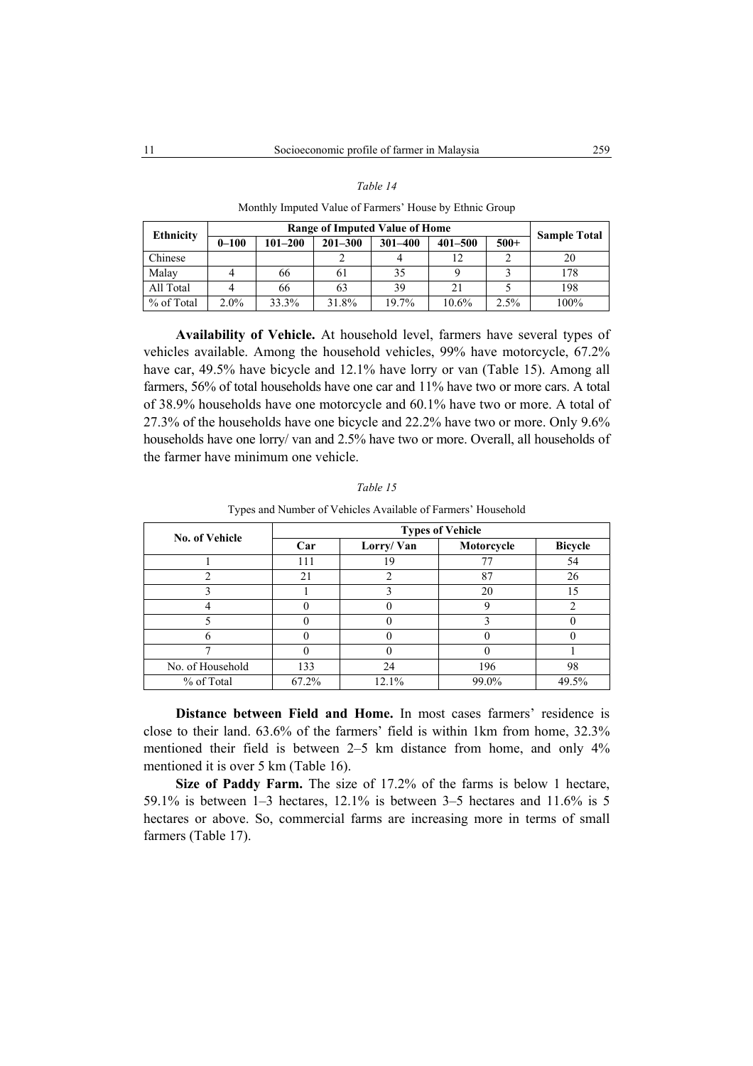| ani. |  |
|------|--|
|------|--|

Monthly Imputed Value of Farmers' House by Ethnic Group

| <b>Ethnicity</b> |           | Range of Imputed Value of Home |             |             |             |        |                     |  |  |  |  |  |  |
|------------------|-----------|--------------------------------|-------------|-------------|-------------|--------|---------------------|--|--|--|--|--|--|
|                  | $0 - 100$ | $101 - 200$                    | $201 - 300$ | $301 - 400$ | $401 - 500$ | $500+$ | <b>Sample Total</b> |  |  |  |  |  |  |
| Chinese          |           |                                |             |             | 12          |        | 20                  |  |  |  |  |  |  |
| Malay            |           | 66                             | 61          | 35          |             |        | 178                 |  |  |  |  |  |  |
| All Total        |           | 66                             | 63          | 39          | 21          |        | 198                 |  |  |  |  |  |  |
| % of Total       | $2.0\%$   | 33.3%                          | 31.8%       | 19.7%       | $10.6\%$    | 2.5%   | 100%                |  |  |  |  |  |  |

**Availability of Vehicle.** At household level, farmers have several types of vehicles available. Among the household vehicles, 99% have motorcycle, 67.2% have car, 49.5% have bicycle and 12.1% have lorry or van (Table 15). Among all farmers, 56% of total households have one car and 11% have two or more cars. A total of 38.9% households have one motorcycle and 60.1% have two or more. A total of 27.3% of the households have one bicycle and 22.2% have two or more. Only 9.6% households have one lorry/ van and 2.5% have two or more. Overall, all households of the farmer have minimum one vehicle.

| No. of Vehicle   |       |           | <b>Types of Vehicle</b> |                |
|------------------|-------|-----------|-------------------------|----------------|
|                  | Car   | Lorry/Van | Motorcycle              | <b>Bicycle</b> |
|                  | 111   | 19        | 77                      | 54             |
|                  | 21    |           | 87                      | 26             |
|                  |       |           | 20                      |                |
|                  |       |           | Q                       |                |
|                  |       |           |                         |                |
|                  |       |           |                         |                |
|                  |       |           |                         |                |
| No. of Household | 133   | 24        | 196                     | 98             |
| % of Total       | 67.2% | 12.1%     | 99.0%                   | 49.5%          |

*Table 15*  Types and Number of Vehicles Available of Farmers' Household

**Distance between Field and Home.** In most cases farmers' residence is close to their land. 63.6% of the farmers' field is within 1km from home, 32.3% mentioned their field is between 2–5 km distance from home, and only 4% mentioned it is over 5 km (Table 16).

**Size of Paddy Farm.** The size of 17.2% of the farms is below 1 hectare, 59.1% is between 1–3 hectares, 12.1% is between 3–5 hectares and 11.6% is 5 hectares or above. So, commercial farms are increasing more in terms of small farmers (Table 17).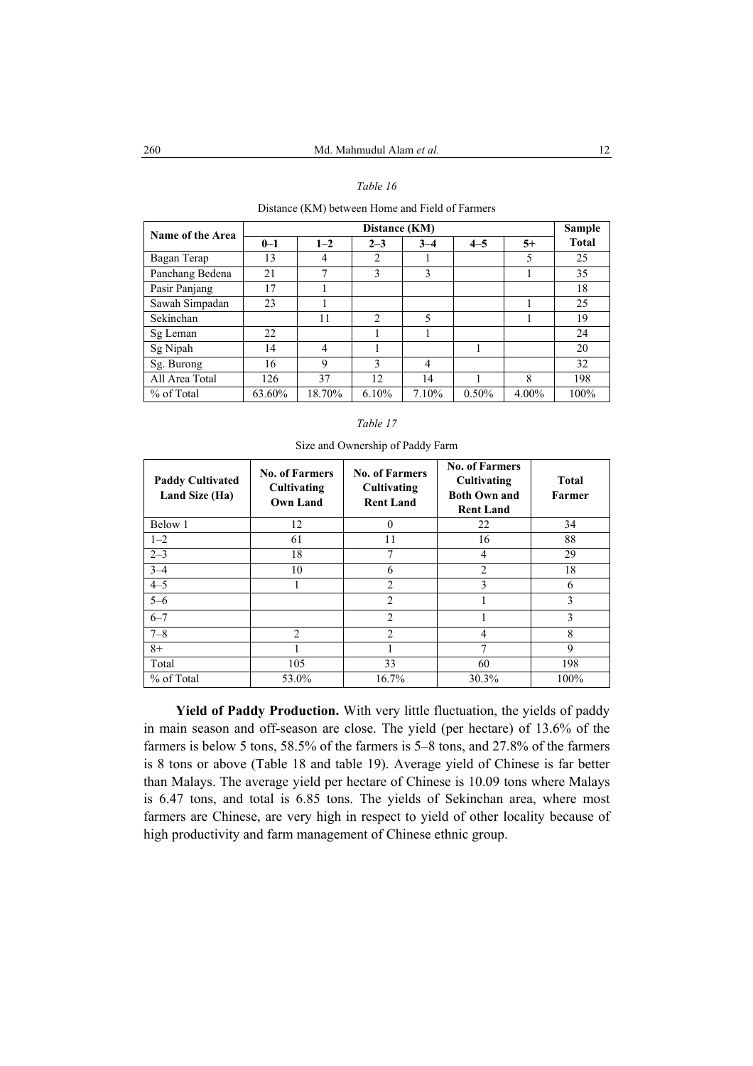Distance (KM) between Home and Field of Farmers

| Name of the Area |         |         | Distance (KM)  |         |         |       | Sample       |
|------------------|---------|---------|----------------|---------|---------|-------|--------------|
|                  | $0 - 1$ | $1 - 2$ | $2 - 3$        | $3 - 4$ | $4 - 5$ | $5+$  | <b>Total</b> |
| Bagan Terap      | 13      | 4       | $\overline{2}$ |         |         | 5     | 25           |
| Panchang Bedena  | 21      | 7       | 3              | 3       |         |       | 35           |
| Pasir Panjang    | 17      |         |                |         |         |       | 18           |
| Sawah Simpadan   | 23      |         |                |         |         |       | 25           |
| Sekinchan        |         | 11      | $\mathfrak{D}$ | 5       |         |       | 19           |
| Sg Leman         | 22      |         |                |         |         |       | 24           |
| Sg Nipah         | 14      | 4       |                |         |         |       | 20           |
| Sg. Burong       | 16      | 9       | $\mathcal{E}$  | 4       |         |       | 32           |
| All Area Total   | 126     | 37      | 12             | 14      |         | 8     | 198          |
| % of Total       | 63.60%  | 18.70%  | 6.10%          | 7.10%   | 0.50%   | 4.00% | 100%         |

# *Table 17*

| <b>Paddy Cultivated</b><br>Land Size (Ha) | <b>No. of Farmers</b><br>Cultivating<br><b>Own Land</b> | <b>No. of Farmers</b><br>Cultivating<br><b>Rent Land</b> | <b>No. of Farmers</b><br>Cultivating<br><b>Both Own and</b><br><b>Rent Land</b> | <b>Total</b><br>Farmer |
|-------------------------------------------|---------------------------------------------------------|----------------------------------------------------------|---------------------------------------------------------------------------------|------------------------|
| Below 1                                   | 12                                                      | $\theta$                                                 | 22                                                                              | 34                     |
| $1 - 2$                                   | 61                                                      | 11                                                       | 16                                                                              | 88                     |
| $2 - 3$                                   | 18                                                      | 7                                                        | 4                                                                               | 29                     |
| $3 - 4$                                   | 10                                                      | 6                                                        | 2                                                                               | 18                     |
| $4 - 5$                                   |                                                         | $\overline{2}$                                           | 3                                                                               | 6                      |
| $5 - 6$                                   |                                                         | $\overline{c}$                                           |                                                                                 | 3                      |
| $6 - 7$                                   |                                                         | $\overline{2}$                                           |                                                                                 | 3                      |
| $7 - 8$                                   | $\overline{2}$                                          | $\overline{2}$                                           | 4                                                                               | 8                      |
| $8+$                                      |                                                         |                                                          | 7                                                                               | 9                      |
| Total                                     | 105                                                     | 33                                                       | 60                                                                              | 198                    |
| % of Total                                | 53.0%                                                   | 16.7%                                                    | 30.3%                                                                           | 100%                   |

Size and Ownership of Paddy Farm

**Yield of Paddy Production.** With very little fluctuation, the yields of paddy in main season and off-season are close. The yield (per hectare) of 13.6% of the farmers is below 5 tons, 58.5% of the farmers is 5–8 tons, and 27.8% of the farmers is 8 tons or above (Table 18 and table 19). Average yield of Chinese is far better than Malays. The average yield per hectare of Chinese is 10.09 tons where Malays is 6.47 tons, and total is 6.85 tons. The yields of Sekinchan area, where most farmers are Chinese, are very high in respect to yield of other locality because of high productivity and farm management of Chinese ethnic group.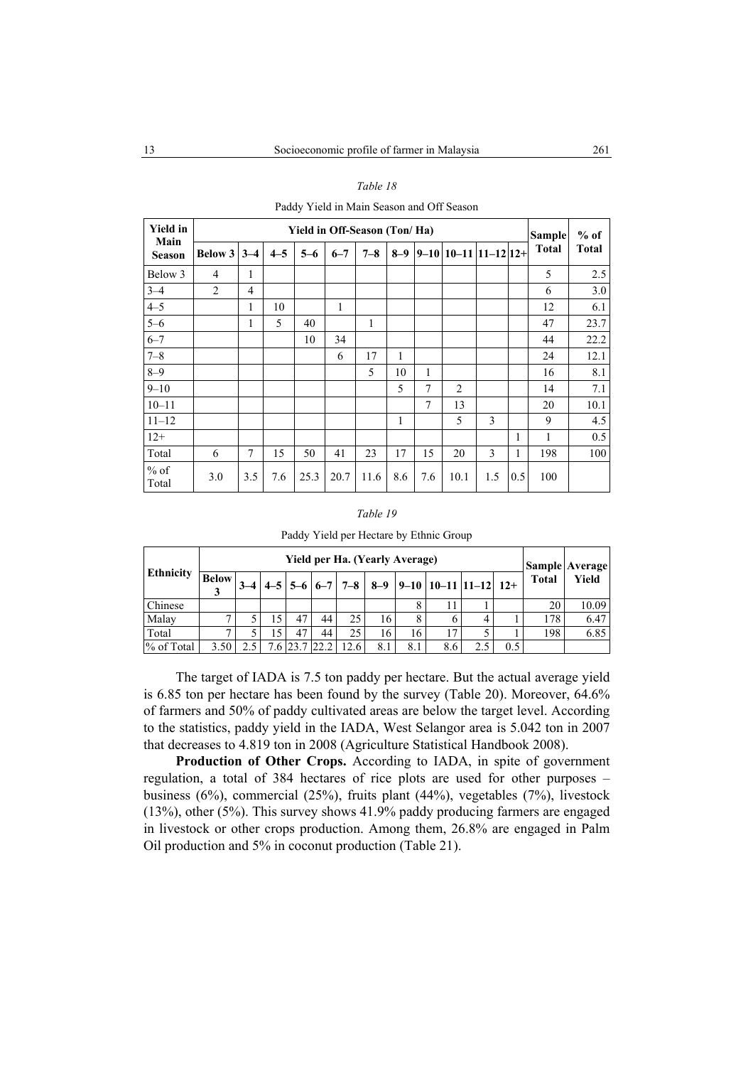Paddy Yield in Main Season and Off Season

| <b>Yield in</b><br>Main |                |                |         |         |         | Yield in Off-Season (Ton/Ha) |         |     |                            |     |     | <b>Sample</b> | $%$ of<br><b>Total</b> |
|-------------------------|----------------|----------------|---------|---------|---------|------------------------------|---------|-----|----------------------------|-----|-----|---------------|------------------------|
| <b>Season</b>           | <b>Below 3</b> | $3 - 4$        | $4 - 5$ | $5 - 6$ | $6 - 7$ | $7 - 8$                      | $8 - 9$ |     | $9-10$   10-11  11-12  12+ |     |     | <b>Total</b>  |                        |
| Below 3                 | 4              | 1              |         |         |         |                              |         |     |                            |     |     | 5             | 2.5                    |
| $3 - 4$                 | $\overline{c}$ | 4              |         |         |         |                              |         |     |                            |     |     | 6             | 3.0                    |
| $4 - 5$                 |                | 1              | 10      |         | 1       |                              |         |     |                            |     |     | 12            | 6.1                    |
| $5 - 6$                 |                | 1              | 5       | 40      |         | 1                            |         |     |                            |     |     | 47            | 23.7                   |
| $6 - 7$                 |                |                |         | 10      | 34      |                              |         |     |                            |     |     | 44            | 22.2                   |
| $7 - 8$                 |                |                |         |         | 6       | 17                           | 1       |     |                            |     |     | 24            | 12.1                   |
| $8 - 9$                 |                |                |         |         |         | 5                            | 10      | 1   |                            |     |     | 16            | 8.1                    |
| $9 - 10$                |                |                |         |         |         |                              | 5       | 7   | 2                          |     |     | 14            | 7.1                    |
| $10 - 11$               |                |                |         |         |         |                              |         | 7   | 13                         |     |     | 20            | 10.1                   |
| $11 - 12$               |                |                |         |         |         |                              | 1       |     | 5                          | 3   |     | 9             | 4.5                    |
| $12+$                   |                |                |         |         |         |                              |         |     |                            |     | 1   | 1             | 0.5                    |
| Total                   | 6              | $\overline{7}$ | 15      | 50      | 41      | 23                           | 17      | 15  | 20                         | 3   | 1   | 198           | 100                    |
| $%$ of<br>Total         | 3.0            | 3.5            | 7.6     | 25.3    | 20.7    | 11.6                         | 8.6     | 7.6 | 10.1                       | 1.5 | 0.5 | 100           |                        |

#### *Table 19*

|                  | Yield per Ha. (Yearly Average) |  |  |  |  |  |  |  |  |  |  |              | Sample Average |
|------------------|--------------------------------|--|--|--|--|--|--|--|--|--|--|--------------|----------------|
| <b>Ethnicity</b> |                                |  |  |  |  |  |  |  |  |  |  | <b>Total</b> | <b>Yield</b>   |
| <b>Chinese</b>   |                                |  |  |  |  |  |  |  |  |  |  | 2(           | 0.09           |

% of Total 3.50 2.5 7.6 23.7 22.2 12.6 8.1 8.1 8.6 2.5 0.5

Paddy Yield per Hectare by Ethnic Group

Malay | 7 | 5 | 15 | 47 | 44 | 25 | 16 | 8 | 6 | 4 | 1 | 178 | 6.47 Total | 7 | 5 | 15 | 47 | 44 | 25 | 16 | 16 | 17 | 5 | 1 | 198 | 6.85

The target of IADA is 7.5 ton paddy per hectare. But the actual average yield is 6.85 ton per hectare has been found by the survey (Table 20). Moreover, 64.6% of farmers and 50% of paddy cultivated areas are below the target level. According to the statistics, paddy yield in the IADA, West Selangor area is 5.042 ton in 2007 that decreases to 4.819 ton in 2008 (Agriculture Statistical Handbook 2008).

**Production of Other Crops.** According to IADA, in spite of government regulation, a total of 384 hectares of rice plots are used for other purposes – business (6%), commercial (25%), fruits plant (44%), vegetables (7%), livestock (13%), other (5%). This survey shows 41.9% paddy producing farmers are engaged in livestock or other crops production. Among them, 26.8% are engaged in Palm Oil production and 5% in coconut production (Table 21).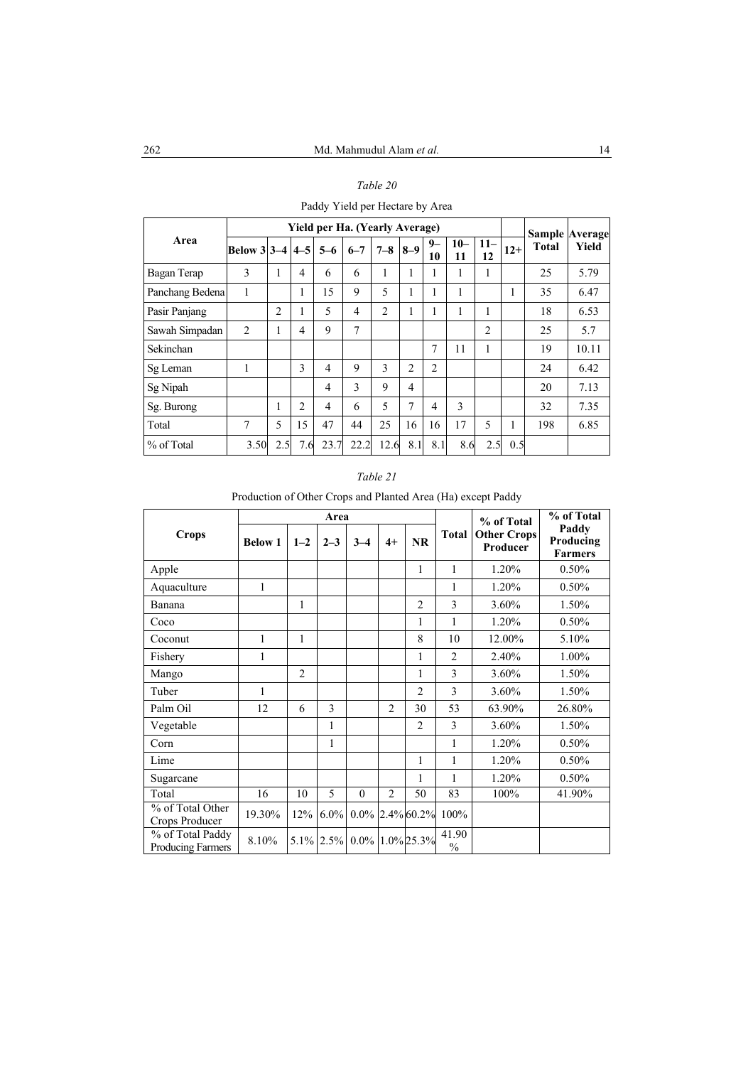Paddy Yield per Hectare by Area

|                 |                     |                |                |         | <b>Yield per Ha. (Yearly Average)</b> |                |                |                |              |              |       |       | <b>Sample Average</b> |
|-----------------|---------------------|----------------|----------------|---------|---------------------------------------|----------------|----------------|----------------|--------------|--------------|-------|-------|-----------------------|
| Area            | Below 3 3 - 4 4 - 5 |                |                | $5 - 6$ | $6 - 7$                               | $7 - 8$        | $8-9$          | $9-$<br>10     | $10 -$<br>11 | $11 -$<br>12 | $12+$ | Total | Yield                 |
| Bagan Terap     | 3                   | 1              | 4              | 6       | 6                                     | 1              |                | 1              | 1            |              |       | 25    | 5.79                  |
| Panchang Bedena | 1                   |                | 1              | 15      | 9                                     | 5              |                | 1              | 1            |              |       | 35    | 6.47                  |
| Pasir Panjang   |                     | $\overline{c}$ | ı              | 5       | $\overline{4}$                        | $\overline{2}$ |                | ш              | 1            |              |       | 18    | 6.53                  |
| Sawah Simpadan  | $\overline{2}$      | 1              | 4              | 9       | 7                                     |                |                |                |              | 2            |       | 25    | 5.7                   |
| Sekinchan       |                     |                |                |         |                                       |                |                | 7              | 11           |              |       | 19    | 10.11                 |
| Sg Leman        | 1                   |                | 3              | 4       | 9                                     | 3              | $\overline{2}$ | $\overline{2}$ |              |              |       | 24    | 6.42                  |
| Sg Nipah        |                     |                |                | 4       | 3                                     | 9              | 4              |                |              |              |       | 20    | 7.13                  |
| Sg. Burong      |                     |                | $\overline{2}$ | 4       | 6                                     | 5              | 7              | 4              | 3            |              |       | 32    | 7.35                  |
| Total           | 7                   | 5              | 15             | 47      | 44                                    | 25             | 16             | 16             | 17           | 5            |       | 198   | 6.85                  |
| % of Total      | 3.50                | 2.5            | 7.6            | 23.7    | 22.2                                  | 12.6           | 8.1            | 8.1            | 8.6          | 2.5          | 0.5   |       |                       |

Production of Other Crops and Planted Area (Ha) except Paddy

| <b>Crops</b>                          | Area           |                |              |          |                |                    |                | % of Total                     | % of Total                           |
|---------------------------------------|----------------|----------------|--------------|----------|----------------|--------------------|----------------|--------------------------------|--------------------------------------|
|                                       | <b>Below 1</b> | $1 - 2$        | $2 - 3$      | $3 - 4$  | $4+$           | <b>NR</b>          | <b>Total</b>   | <b>Other Crops</b><br>Producer | Paddy<br>Producing<br><b>Farmers</b> |
| Apple                                 |                |                |              |          |                | 1                  | 1              | 1.20%                          | 0.50%                                |
| Aquaculture                           | 1              |                |              |          |                |                    | 1              | 1.20%                          | 0.50%                                |
| Banana                                |                | 1              |              |          |                | $\overline{2}$     | 3              | 3.60%                          | 1.50%                                |
| Coco                                  |                |                |              |          |                | 1                  | 1              | 1.20%                          | 0.50%                                |
| Coconut                               | 1              | 1              |              |          |                | 8                  | 10             | 12.00%                         | 5.10%                                |
| Fishery                               | 1              |                |              |          |                | 1                  | $\overline{2}$ | 2.40%                          | 1.00%                                |
| Mango                                 |                | $\overline{2}$ |              |          |                | 1                  | 3              | 3.60%                          | 1.50%                                |
| Tuber                                 | 1              |                |              |          |                | $\overline{2}$     | 3              | 3.60%                          | 1.50%                                |
| Palm Oil                              | 12             | 6              | 3            |          | $\overline{2}$ | 30                 | 53             | 63.90%                         | 26.80%                               |
| Vegetable                             |                |                | 1            |          |                | $\overline{2}$     | 3              | 3.60%                          | 1.50%                                |
| Corn                                  |                |                | 1            |          |                |                    | 1              | 1.20%                          | 0.50%                                |
| Lime                                  |                |                |              |          |                | 1                  | 1              | 1.20%                          | 0.50%                                |
| Sugarcane                             |                |                |              |          |                | 1                  | 1              | 1.20%                          | 0.50%                                |
| Total                                 | 16             | 10             | 5            | $\theta$ | $\overline{2}$ | 50                 | 83             | 100%                           | 41.90%                               |
| % of Total Other<br>Crops Producer    | 19.30%         |                | $12\%$ 6.0%  |          |                | $0.0\%$ 2.4% 60.2% | 100%           |                                |                                      |
| % of Total Paddy<br>Producing Farmers | 8.10%          |                | $5.1\%$ 2.5% | $0.0\%$  |                | 1.0% 25.3%         | 41.90<br>$\%$  |                                |                                      |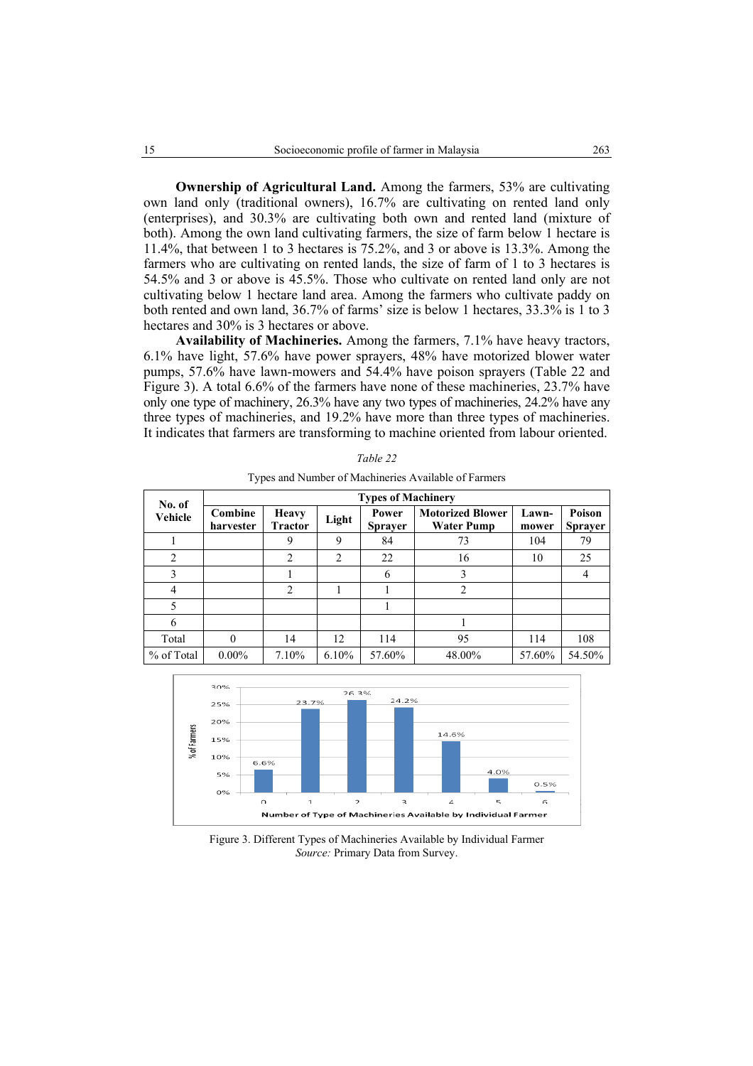**Ownership of Agricultural Land.** Among the farmers, 53% are cultivating own land only (traditional owners), 16.7% are cultivating on rented land only (enterprises), and 30.3% are cultivating both own and rented land (mixture of both). Among the own land cultivating farmers, the size of farm below 1 hectare is 11.4%, that between 1 to 3 hectares is 75.2%, and 3 or above is 13.3%. Among the farmers who are cultivating on rented lands, the size of farm of 1 to 3 hectares is 54.5% and 3 or above is 45.5%. Those who cultivate on rented land only are not cultivating below 1 hectare land area. Among the farmers who cultivate paddy on both rented and own land, 36.7% of farms' size is below 1 hectares, 33.3% is 1 to 3 hectares and 30% is 3 hectares or above.

**Availability of Machineries.** Among the farmers, 7.1% have heavy tractors, 6.1% have light, 57.6% have power sprayers, 48% have motorized blower water pumps, 57.6% have lawn-mowers and 54.4% have poison sprayers (Table 22 and Figure 3). A total 6.6% of the farmers have none of these machineries, 23.7% have only one type of machinery, 26.3% have any two types of machineries, 24.2% have any three types of machineries, and 19.2% have more than three types of machineries. It indicates that farmers are transforming to machine oriented from labour oriented.

| No. of<br>Vehicle | <b>Types of Machinery</b> |                                |                |                         |                                              |                |                          |  |  |  |  |
|-------------------|---------------------------|--------------------------------|----------------|-------------------------|----------------------------------------------|----------------|--------------------------|--|--|--|--|
|                   | Combine<br>harvester      | <b>Heavy</b><br><b>Tractor</b> | Light          | Power<br><b>Sprayer</b> | <b>Motorized Blower</b><br><b>Water Pump</b> | Lawn-<br>mower | Poison<br><b>Sprayer</b> |  |  |  |  |
|                   |                           | 9                              | 9              | 84                      | 73                                           | 104            | 79                       |  |  |  |  |
| $\overline{c}$    |                           | $\overline{2}$                 | $\overline{2}$ | 22                      | 16                                           | 10             | 25                       |  |  |  |  |
| 3                 |                           |                                |                | 6                       | 3                                            |                | 4                        |  |  |  |  |
| $\overline{4}$    |                           | $\overline{c}$                 |                |                         | 2                                            |                |                          |  |  |  |  |
| 5                 |                           |                                |                |                         |                                              |                |                          |  |  |  |  |
| 6                 |                           |                                |                |                         |                                              |                |                          |  |  |  |  |
| Total             | $\theta$                  | 14                             | 12             | 114                     | 95                                           | 114            | 108                      |  |  |  |  |
| % of Total        | $0.00\%$                  | 7.10%                          | 6.10%          | 57.60%                  | 48.00%                                       | 57.60%         | 54.50%                   |  |  |  |  |

*Table 22*  Types and Number of Machineries Available of Farmers



Figure 3. Different Types of Machineries Available by Individual Farmer *Source:* Primary Data from Survey.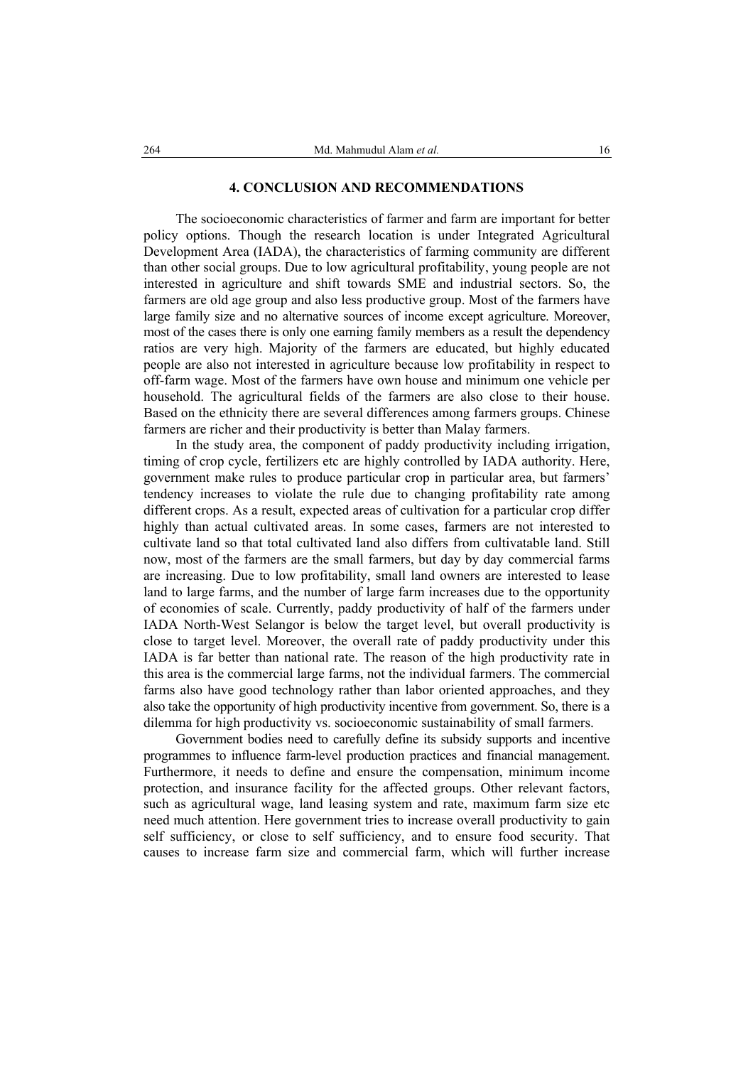## **4. CONCLUSION AND RECOMMENDATIONS**

The socioeconomic characteristics of farmer and farm are important for better policy options. Though the research location is under Integrated Agricultural Development Area (IADA), the characteristics of farming community are different than other social groups. Due to low agricultural profitability, young people are not interested in agriculture and shift towards SME and industrial sectors. So, the farmers are old age group and also less productive group. Most of the farmers have large family size and no alternative sources of income except agriculture. Moreover, most of the cases there is only one earning family members as a result the dependency ratios are very high. Majority of the farmers are educated, but highly educated people are also not interested in agriculture because low profitability in respect to off-farm wage. Most of the farmers have own house and minimum one vehicle per household. The agricultural fields of the farmers are also close to their house. Based on the ethnicity there are several differences among farmers groups. Chinese farmers are richer and their productivity is better than Malay farmers.

In the study area, the component of paddy productivity including irrigation, timing of crop cycle, fertilizers etc are highly controlled by IADA authority. Here, government make rules to produce particular crop in particular area, but farmers' tendency increases to violate the rule due to changing profitability rate among different crops. As a result, expected areas of cultivation for a particular crop differ highly than actual cultivated areas. In some cases, farmers are not interested to cultivate land so that total cultivated land also differs from cultivatable land. Still now, most of the farmers are the small farmers, but day by day commercial farms are increasing. Due to low profitability, small land owners are interested to lease land to large farms, and the number of large farm increases due to the opportunity of economies of scale. Currently, paddy productivity of half of the farmers under IADA North-West Selangor is below the target level, but overall productivity is close to target level. Moreover, the overall rate of paddy productivity under this IADA is far better than national rate. The reason of the high productivity rate in this area is the commercial large farms, not the individual farmers. The commercial farms also have good technology rather than labor oriented approaches, and they also take the opportunity of high productivity incentive from government. So, there is a dilemma for high productivity vs. socioeconomic sustainability of small farmers.

Government bodies need to carefully define its subsidy supports and incentive programmes to influence farm-level production practices and financial management. Furthermore, it needs to define and ensure the compensation, minimum income protection, and insurance facility for the affected groups. Other relevant factors, such as agricultural wage, land leasing system and rate, maximum farm size etc need much attention. Here government tries to increase overall productivity to gain self sufficiency, or close to self sufficiency, and to ensure food security. That causes to increase farm size and commercial farm, which will further increase